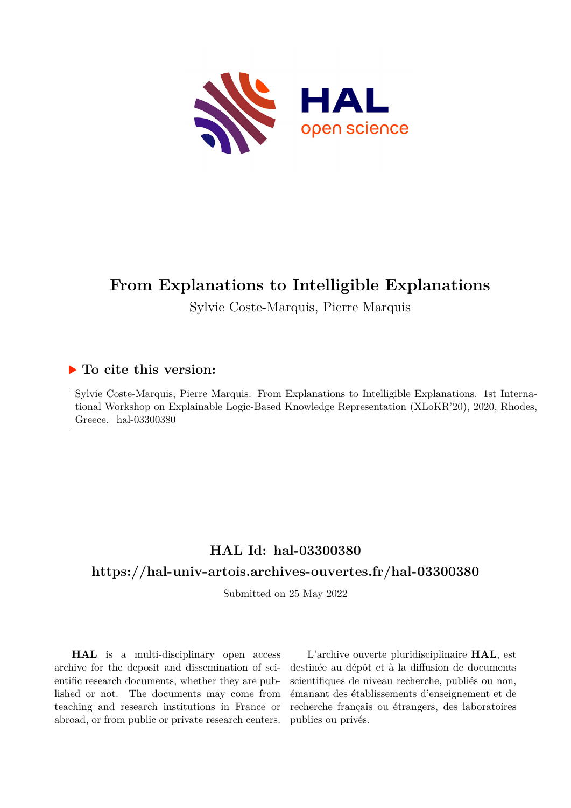

# **From Explanations to Intelligible Explanations**

Sylvie Coste-Marquis, Pierre Marquis

# **To cite this version:**

Sylvie Coste-Marquis, Pierre Marquis. From Explanations to Intelligible Explanations. 1st International Workshop on Explainable Logic-Based Knowledge Representation (XLoKR'20), 2020, Rhodes, Greece. hal- $03300380$ 

# **HAL Id: hal-03300380**

# **<https://hal-univ-artois.archives-ouvertes.fr/hal-03300380>**

Submitted on 25 May 2022

**HAL** is a multi-disciplinary open access archive for the deposit and dissemination of scientific research documents, whether they are published or not. The documents may come from teaching and research institutions in France or abroad, or from public or private research centers.

L'archive ouverte pluridisciplinaire **HAL**, est destinée au dépôt et à la diffusion de documents scientifiques de niveau recherche, publiés ou non, émanant des établissements d'enseignement et de recherche français ou étrangers, des laboratoires publics ou privés.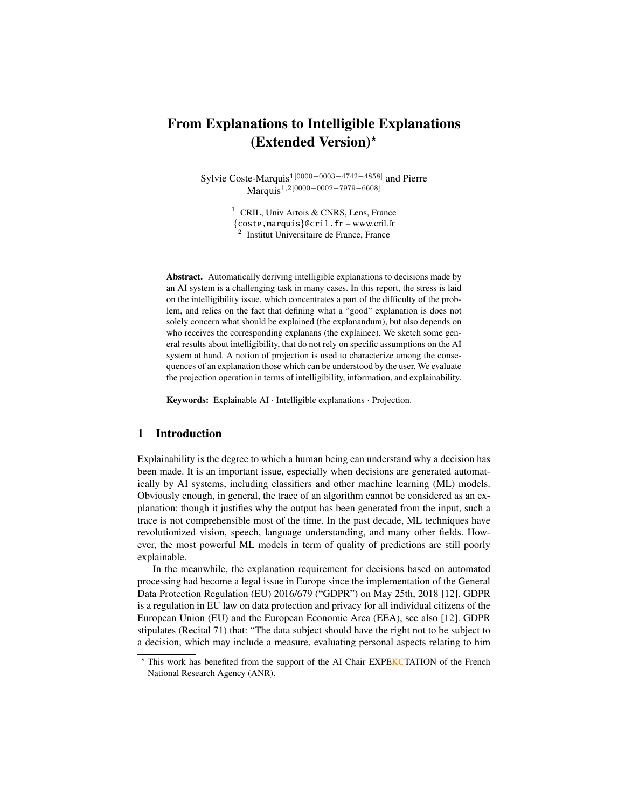# From Explanations to Intelligible Explanations (Extended Version) $\star$

Sylvie Coste-Marquis1[0000−0003−4742−4858] and Pierre Marquis1,2[0000−0002−7979−6608]

> <sup>1</sup> CRIL, Univ Artois & CNRS, Lens, France {coste,marquis}@cril.fr –<www.cril.fr> 2 Institut Universitaire de France, France

Abstract. Automatically deriving intelligible explanations to decisions made by an AI system is a challenging task in many cases. In this report, the stress is laid on the intelligibility issue, which concentrates a part of the difficulty of the problem, and relies on the fact that defining what a "good" explanation is does not solely concern what should be explained (the explanandum), but also depends on who receives the corresponding explanans (the explainee). We sketch some general results about intelligibility, that do not rely on specific assumptions on the AI system at hand. A notion of projection is used to characterize among the consequences of an explanation those which can be understood by the user. We evaluate the projection operation in terms of intelligibility, information, and explainability.

Keywords: Explainable AI · Intelligible explanations · Projection.

## 1 Introduction

Explainability is the degree to which a human being can understand why a decision has been made. It is an important issue, especially when decisions are generated automatically by AI systems, including classifiers and other machine learning (ML) models. Obviously enough, in general, the trace of an algorithm cannot be considered as an explanation: though it justifies why the output has been generated from the input, such a trace is not comprehensible most of the time. In the past decade, ML techniques have revolutionized vision, speech, language understanding, and many other fields. However, the most powerful ML models in term of quality of predictions are still poorly explainable.

In the meanwhile, the explanation requirement for decisions based on automated processing had become a legal issue in Europe since the implementation of the General Data Protection Regulation (EU) 2016/679 ("GDPR") on May 25th, 2018 [12]. GDPR is a regulation in EU law on data protection and privacy for all individual citizens of the European Union (EU) and the European Economic Area (EEA), see also [12]. GDPR stipulates (Recital 71) that: "The data subject should have the right not to be subject to a decision, which may include a measure, evaluating personal aspects relating to him

<sup>?</sup> This work has benefited from the support of the AI Chair EXPEKCTATION of the French National Research Agency (ANR).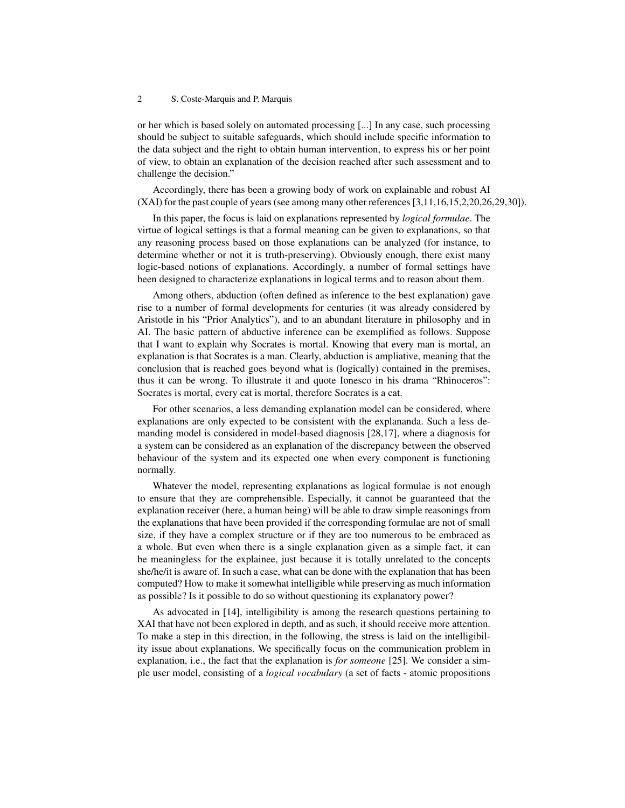or her which is based solely on automated processing [...] In any case, such processing should be subject to suitable safeguards, which should include specific information to the data subject and the right to obtain human intervention, to express his or her point of view, to obtain an explanation of the decision reached after such assessment and to challenge the decision."

Accordingly, there has been a growing body of work on explainable and robust AI (XAI) for the past couple of years (see among many other references [3,11,16,15,2,20,26,29,30]).

In this paper, the focus is laid on explanations represented by *logical formulae*. The virtue of logical settings is that a formal meaning can be given to explanations, so that any reasoning process based on those explanations can be analyzed (for instance, to determine whether or not it is truth-preserving). Obviously enough, there exist many logic-based notions of explanations. Accordingly, a number of formal settings have been designed to characterize explanations in logical terms and to reason about them.

Among others, abduction (often defined as inference to the best explanation) gave rise to a number of formal developments for centuries (it was already considered by Aristotle in his "Prior Analytics"), and to an abundant literature in philosophy and in AI. The basic pattern of abductive inference can be exemplified as follows. Suppose that I want to explain why Socrates is mortal. Knowing that every man is mortal, an explanation is that Socrates is a man. Clearly, abduction is ampliative, meaning that the conclusion that is reached goes beyond what is (logically) contained in the premises, thus it can be wrong. To illustrate it and quote Ionesco in his drama "Rhinoceros": Socrates is mortal, every cat is mortal, therefore Socrates is a cat.

For other scenarios, a less demanding explanation model can be considered, where explanations are only expected to be consistent with the explananda. Such a less demanding model is considered in model-based diagnosis [28,17], where a diagnosis for a system can be considered as an explanation of the discrepancy between the observed behaviour of the system and its expected one when every component is functioning normally.

Whatever the model, representing explanations as logical formulae is not enough to ensure that they are comprehensible. Especially, it cannot be guaranteed that the explanation receiver (here, a human being) will be able to draw simple reasonings from the explanations that have been provided if the corresponding formulae are not of small size, if they have a complex structure or if they are too numerous to be embraced as a whole. But even when there is a single explanation given as a simple fact, it can be meaningless for the explainee, just because it is totally unrelated to the concepts she/he/it is aware of. In such a case, what can be done with the explanation that has been computed? How to make it somewhat intelligible while preserving as much information as possible? Is it possible to do so without questioning its explanatory power?

As advocated in [14], intelligibility is among the research questions pertaining to XAI that have not been explored in depth, and as such, it should receive more attention. To make a step in this direction, in the following, the stress is laid on the intelligibility issue about explanations. We specifically focus on the communication problem in explanation, i.e., the fact that the explanation is *for someone* [25]. We consider a simple user model, consisting of a *logical vocabulary* (a set of facts - atomic propositions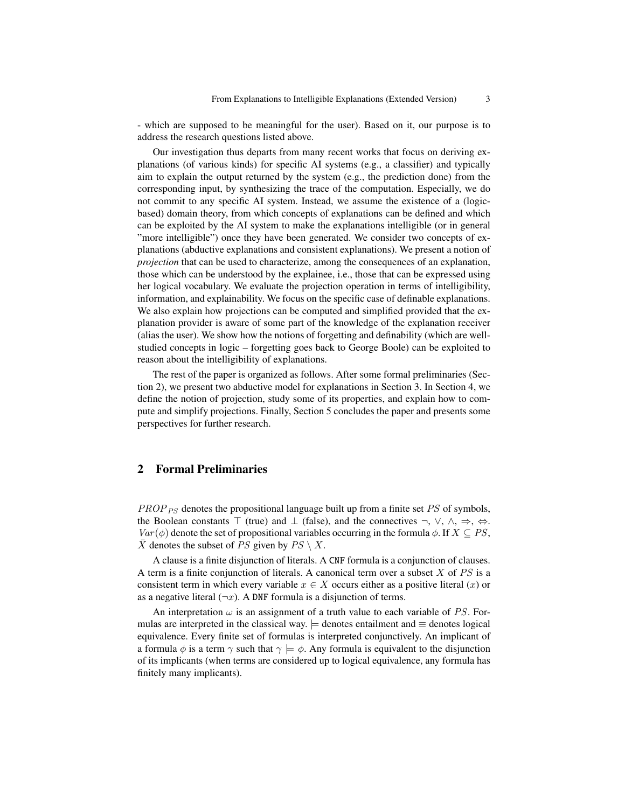- which are supposed to be meaningful for the user). Based on it, our purpose is to address the research questions listed above.

Our investigation thus departs from many recent works that focus on deriving explanations (of various kinds) for specific AI systems (e.g., a classifier) and typically aim to explain the output returned by the system (e.g., the prediction done) from the corresponding input, by synthesizing the trace of the computation. Especially, we do not commit to any specific AI system. Instead, we assume the existence of a (logicbased) domain theory, from which concepts of explanations can be defined and which can be exploited by the AI system to make the explanations intelligible (or in general "more intelligible") once they have been generated. We consider two concepts of explanations (abductive explanations and consistent explanations). We present a notion of *projection* that can be used to characterize, among the consequences of an explanation, those which can be understood by the explainee, i.e., those that can be expressed using her logical vocabulary. We evaluate the projection operation in terms of intelligibility, information, and explainability. We focus on the specific case of definable explanations. We also explain how projections can be computed and simplified provided that the explanation provider is aware of some part of the knowledge of the explanation receiver (alias the user). We show how the notions of forgetting and definability (which are wellstudied concepts in logic – forgetting goes back to George Boole) can be exploited to reason about the intelligibility of explanations.

The rest of the paper is organized as follows. After some formal preliminaries (Section 2), we present two abductive model for explanations in Section 3. In Section 4, we define the notion of projection, study some of its properties, and explain how to compute and simplify projections. Finally, Section 5 concludes the paper and presents some perspectives for further research.

## 2 Formal Preliminaries

 $PROP_{PS}$  denotes the propositional language built up from a finite set  $PS$  of symbols, the Boolean constants  $\top$  (true) and  $\bot$  (false), and the connectives  $\neg$ ,  $\vee$ ,  $\wedge$ ,  $\Rightarrow$ ,  $\Leftrightarrow$ .  $Var(\phi)$  denote the set of propositional variables occurring in the formula  $\phi$ . If  $X \subseteq PS$ ,  $\overline{X}$  denotes the subset of PS given by  $PS \setminus X$ .

A clause is a finite disjunction of literals. A CNF formula is a conjunction of clauses. A term is a finite conjunction of literals. A canonical term over a subset  $X$  of  $PS$  is a consistent term in which every variable  $x \in X$  occurs either as a positive literal  $(x)$  or as a negative literal  $(\neg x)$ . A DNF formula is a disjunction of terms.

An interpretation  $\omega$  is an assignment of a truth value to each variable of PS. Formulas are interpreted in the classical way.  $\models$  denotes entailment and  $\equiv$  denotes logical equivalence. Every finite set of formulas is interpreted conjunctively. An implicant of a formula  $\phi$  is a term  $\gamma$  such that  $\gamma \models \phi$ . Any formula is equivalent to the disjunction of its implicants (when terms are considered up to logical equivalence, any formula has finitely many implicants).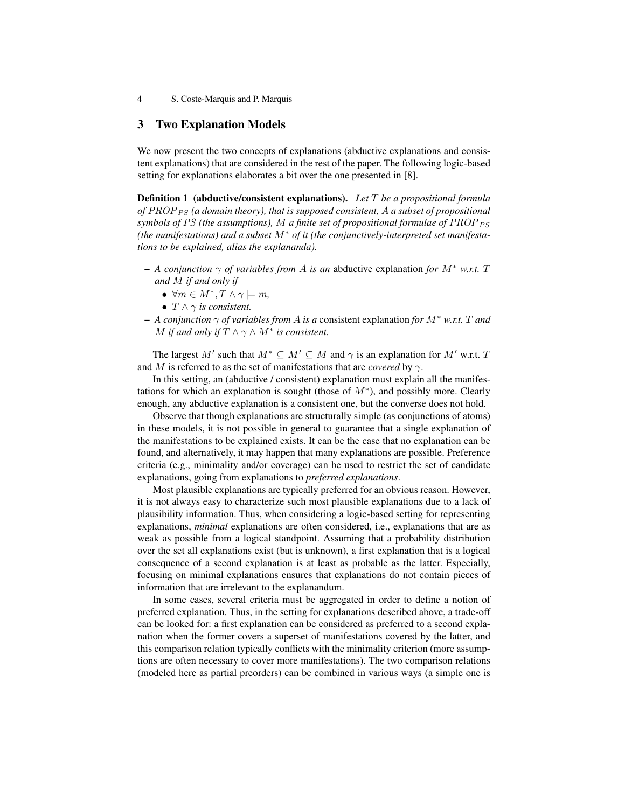### 3 Two Explanation Models

We now present the two concepts of explanations (abductive explanations and consistent explanations) that are considered in the rest of the paper. The following logic-based setting for explanations elaborates a bit over the one presented in [8].

Definition 1 (abductive/consistent explanations). *Let* T *be a propositional formula of* PROP<sub>PS</sub> (a domain theory), that is supposed consistent, A a subset of propositional *symbols of PS (the assumptions),* M *a finite set of propositional formulae of PROP*  $_{PS}$ *(the manifestations) and a subset* M<sup>∗</sup> *of it (the conjunctively-interpreted set manifestations to be explained, alias the explananda).*

- $-$  *A conjunction*  $\gamma$  *of variables from A is an abductive explanation for*  $M^*$  *w.r.t.* T *and* M *if and only if*
	- $\bullet \ \forall m \in M^*, T \wedge \gamma \models m,$
	- $T \wedge \gamma$  *is consistent.*
- *A conjunction* γ *of variables from* A *is a* consistent explanation *for* M<sup>∗</sup> *w.r.t.* T *and* M if and only if  $T \wedge \gamma \wedge M^*$  is consistent.

The largest M' such that  $M^* \subseteq M' \subseteq M$  and  $\gamma$  is an explanation for M' w.r.t. T and M is referred to as the set of manifestations that are *covered* by  $\gamma$ .

In this setting, an (abductive / consistent) explanation must explain all the manifestations for which an explanation is sought (those of  $M^*$ ), and possibly more. Clearly enough, any abductive explanation is a consistent one, but the converse does not hold.

Observe that though explanations are structurally simple (as conjunctions of atoms) in these models, it is not possible in general to guarantee that a single explanation of the manifestations to be explained exists. It can be the case that no explanation can be found, and alternatively, it may happen that many explanations are possible. Preference criteria (e.g., minimality and/or coverage) can be used to restrict the set of candidate explanations, going from explanations to *preferred explanations*.

Most plausible explanations are typically preferred for an obvious reason. However, it is not always easy to characterize such most plausible explanations due to a lack of plausibility information. Thus, when considering a logic-based setting for representing explanations, *minimal* explanations are often considered, i.e., explanations that are as weak as possible from a logical standpoint. Assuming that a probability distribution over the set all explanations exist (but is unknown), a first explanation that is a logical consequence of a second explanation is at least as probable as the latter. Especially, focusing on minimal explanations ensures that explanations do not contain pieces of information that are irrelevant to the explanandum.

In some cases, several criteria must be aggregated in order to define a notion of preferred explanation. Thus, in the setting for explanations described above, a trade-off can be looked for: a first explanation can be considered as preferred to a second explanation when the former covers a superset of manifestations covered by the latter, and this comparison relation typically conflicts with the minimality criterion (more assumptions are often necessary to cover more manifestations). The two comparison relations (modeled here as partial preorders) can be combined in various ways (a simple one is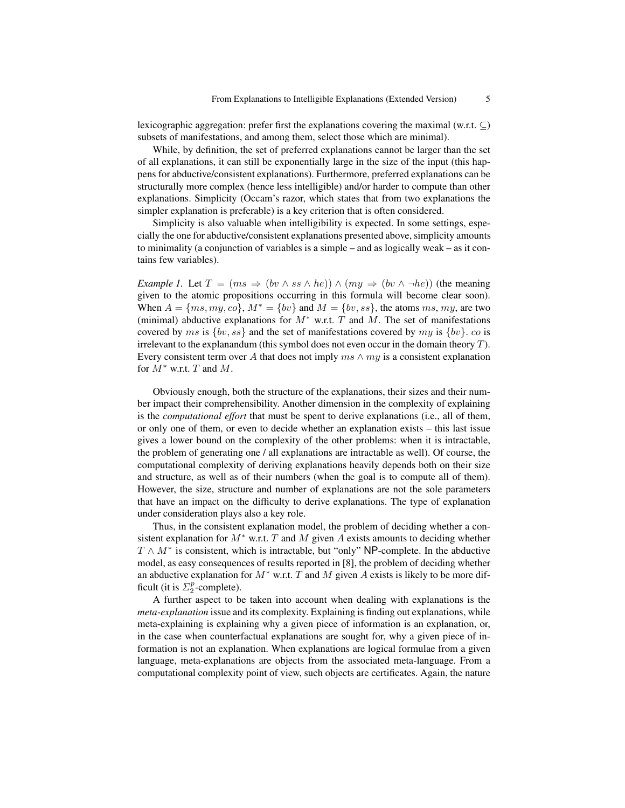lexicographic aggregation: prefer first the explanations covering the maximal (w.r.t.  $\subseteq$ ) subsets of manifestations, and among them, select those which are minimal).

While, by definition, the set of preferred explanations cannot be larger than the set of all explanations, it can still be exponentially large in the size of the input (this happens for abductive/consistent explanations). Furthermore, preferred explanations can be structurally more complex (hence less intelligible) and/or harder to compute than other explanations. Simplicity (Occam's razor, which states that from two explanations the simpler explanation is preferable) is a key criterion that is often considered.

Simplicity is also valuable when intelligibility is expected. In some settings, especially the one for abductive/consistent explanations presented above, simplicity amounts to minimality (a conjunction of variables is a simple – and as logically weak – as it contains few variables).

*Example 1.* Let  $T = (ms \Rightarrow (bv \land ss \land he)) \land (my \Rightarrow (bv \land \neg he))$  (the meaning given to the atomic propositions occurring in this formula will become clear soon). When  $A = \{ms, my, co\}$ ,  $M^* = \{bv\}$  and  $M = \{bv, ss\}$ , the atoms ms, my, are two (minimal) abductive explanations for  $M^*$  w.r.t. T and M. The set of manifestations covered by ms is  $\{bv, ss\}$  and the set of manifestations covered by my is  $\{bv\}$ . co is irrelevant to the explanandum (this symbol does not even occur in the domain theory  $T$ ). Every consistent term over A that does not imply  $ms \wedge my$  is a consistent explanation for  $M^*$  w.r.t. T and M.

Obviously enough, both the structure of the explanations, their sizes and their number impact their comprehensibility. Another dimension in the complexity of explaining is the *computational effort* that must be spent to derive explanations (i.e., all of them, or only one of them, or even to decide whether an explanation exists – this last issue gives a lower bound on the complexity of the other problems: when it is intractable, the problem of generating one / all explanations are intractable as well). Of course, the computational complexity of deriving explanations heavily depends both on their size and structure, as well as of their numbers (when the goal is to compute all of them). However, the size, structure and number of explanations are not the sole parameters that have an impact on the difficulty to derive explanations. The type of explanation under consideration plays also a key role.

Thus, in the consistent explanation model, the problem of deciding whether a consistent explanation for  $M^*$  w.r.t. T and M given A exists amounts to deciding whether  $T \wedge M^*$  is consistent, which is intractable, but "only" NP-complete. In the abductive model, as easy consequences of results reported in [8], the problem of deciding whether an abductive explanation for  $M^*$  w.r.t. T and M given A exists is likely to be more difficult (it is  $\Sigma_2^p$ -complete).

A further aspect to be taken into account when dealing with explanations is the *meta-explanation* issue and its complexity. Explaining is finding out explanations, while meta-explaining is explaining why a given piece of information is an explanation, or, in the case when counterfactual explanations are sought for, why a given piece of information is not an explanation. When explanations are logical formulae from a given language, meta-explanations are objects from the associated meta-language. From a computational complexity point of view, such objects are certificates. Again, the nature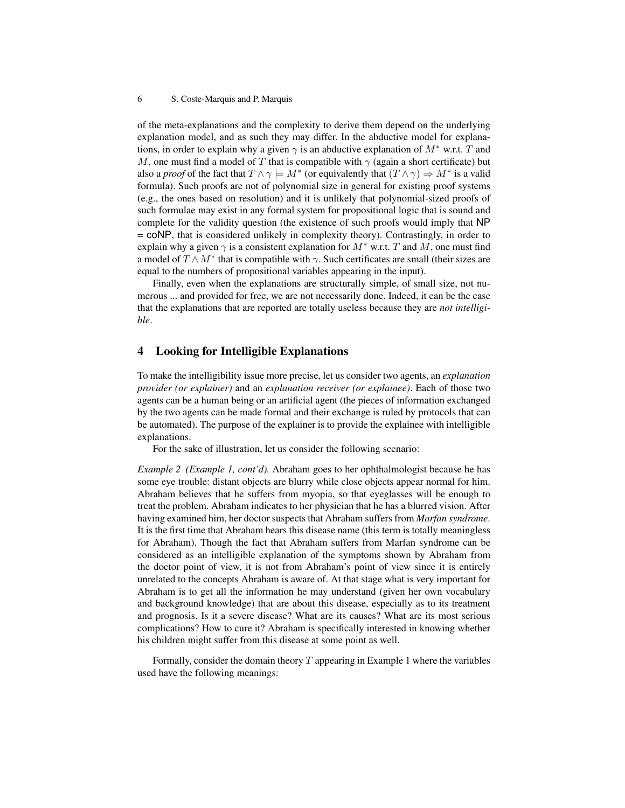of the meta-explanations and the complexity to derive them depend on the underlying explanation model, and as such they may differ. In the abductive model for explanations, in order to explain why a given  $\gamma$  is an abductive explanation of  $M^*$  w.r.t. T and M, one must find a model of T that is compatible with  $\gamma$  (again a short certificate) but also a *proof* of the fact that  $T \wedge \gamma \models M^*$  (or equivalently that  $(T \wedge \gamma) \Rightarrow M^*$  is a valid formula). Such proofs are not of polynomial size in general for existing proof systems (e.g., the ones based on resolution) and it is unlikely that polynomial-sized proofs of such formulae may exist in any formal system for propositional logic that is sound and complete for the validity question (the existence of such proofs would imply that NP = coNP, that is considered unlikely in complexity theory). Contrastingly, in order to explain why a given  $\gamma$  is a consistent explanation for  $M^*$  w.r.t. T and M, one must find a model of  $T \wedge M^*$  that is compatible with  $\gamma$ . Such certificates are small (their sizes are equal to the numbers of propositional variables appearing in the input).

Finally, even when the explanations are structurally simple, of small size, not numerous ... and provided for free, we are not necessarily done. Indeed, it can be the case that the explanations that are reported are totally useless because they are *not intelligible*.

### 4 Looking for Intelligible Explanations

To make the intelligibility issue more precise, let us consider two agents, an *explanation provider (or explainer)* and an *explanation receiver (or explainee)*. Each of those two agents can be a human being or an artificial agent (the pieces of information exchanged by the two agents can be made formal and their exchange is ruled by protocols that can be automated). The purpose of the explainer is to provide the explainee with intelligible explanations.

For the sake of illustration, let us consider the following scenario:

*Example 2 (Example 1, cont'd).* Abraham goes to her ophthalmologist because he has some eye trouble: distant objects are blurry while close objects appear normal for him. Abraham believes that he suffers from myopia, so that eyeglasses will be enough to treat the problem. Abraham indicates to her physician that he has a blurred vision. After having examined him, her doctor suspects that Abraham suffers from *Marfan syndrome*. It is the first time that Abraham hears this disease name (this term is totally meaningless for Abraham). Though the fact that Abraham suffers from Marfan syndrome can be considered as an intelligible explanation of the symptoms shown by Abraham from the doctor point of view, it is not from Abraham's point of view since it is entirely unrelated to the concepts Abraham is aware of. At that stage what is very important for Abraham is to get all the information he may understand (given her own vocabulary and background knowledge) that are about this disease, especially as to its treatment and prognosis. Is it a severe disease? What are its causes? What are its most serious complications? How to cure it? Abraham is specifically interested in knowing whether his children might suffer from this disease at some point as well.

Formally, consider the domain theory  $T$  appearing in Example 1 where the variables used have the following meanings: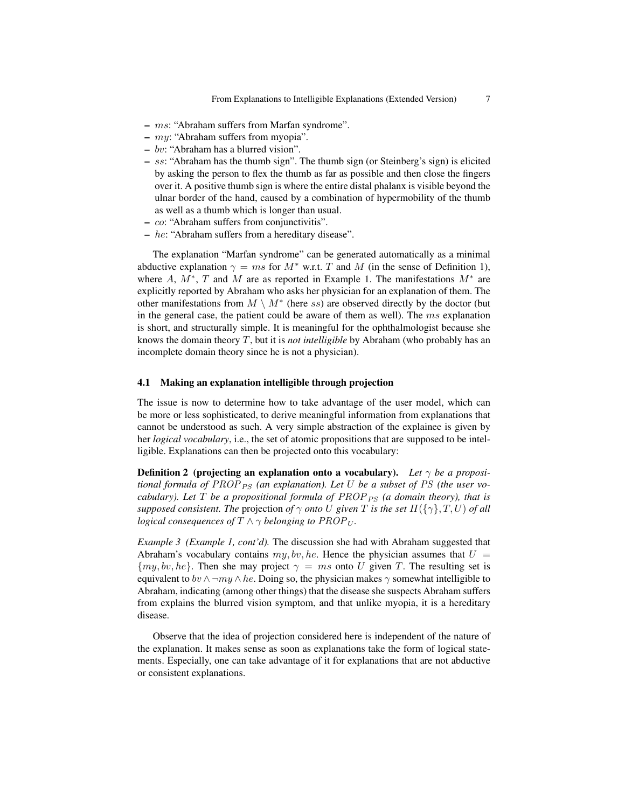- ms: "Abraham suffers from Marfan syndrome".
- $my:$  "Abraham suffers from myopia".
- bv: "Abraham has a blurred vision".
- ss: "Abraham has the thumb sign". The thumb sign (or Steinberg's sign) is elicited by asking the person to flex the thumb as far as possible and then close the fingers over it. A positive thumb sign is where the entire distal phalanx is visible beyond the ulnar border of the hand, caused by a combination of hypermobility of the thumb as well as a thumb which is longer than usual.
- co: "Abraham suffers from conjunctivitis".
- $-$  he: "Abraham suffers from a hereditary disease".

The explanation "Marfan syndrome" can be generated automatically as a minimal abductive explanation  $\gamma = ms$  for  $M^*$  w.r.t. T and M (in the sense of Definition 1), where A,  $M^*$ , T and M are as reported in Example 1. The manifestations  $M^*$  are explicitly reported by Abraham who asks her physician for an explanation of them. The other manifestations from  $M \setminus M^*$  (here ss) are observed directly by the doctor (but in the general case, the patient could be aware of them as well). The  $ms$  explanation is short, and structurally simple. It is meaningful for the ophthalmologist because she knows the domain theory T, but it is *not intelligible* by Abraham (who probably has an incomplete domain theory since he is not a physician).

#### 4.1 Making an explanation intelligible through projection

The issue is now to determine how to take advantage of the user model, which can be more or less sophisticated, to derive meaningful information from explanations that cannot be understood as such. A very simple abstraction of the explainee is given by her *logical vocabulary*, i.e., the set of atomic propositions that are supposed to be intelligible. Explanations can then be projected onto this vocabulary:

**Definition 2** (projecting an explanation onto a vocabulary). Let  $\gamma$  be a proposi*tional formula of PROP*  $_{PS}$  (an explanation). Let U be a subset of PS (the user vo*cabulary). Let*  $T$  *be a propositional formula of*  $PROP_{PS}$  *(a domain theory), that is supposed consistent. The projection of*  $\gamma$  *onto* U given T is the set  $\Pi(\{\gamma\},T,U)$  of all *logical consequences of*  $T \wedge \gamma$  *belonging to*  $PROP_U$ .

*Example 3 (Example 1, cont'd).* The discussion she had with Abraham suggested that Abraham's vocabulary contains  $my, bv, he$ . Hence the physician assumes that  $U =$  ${my, bv, he}$ . Then she may project  $\gamma = ms$  onto U given T. The resulting set is equivalent to bv  $\wedge \neg my \wedge he$ . Doing so, the physician makes  $\gamma$  somewhat intelligible to Abraham, indicating (among other things) that the disease she suspects Abraham suffers from explains the blurred vision symptom, and that unlike myopia, it is a hereditary disease.

Observe that the idea of projection considered here is independent of the nature of the explanation. It makes sense as soon as explanations take the form of logical statements. Especially, one can take advantage of it for explanations that are not abductive or consistent explanations.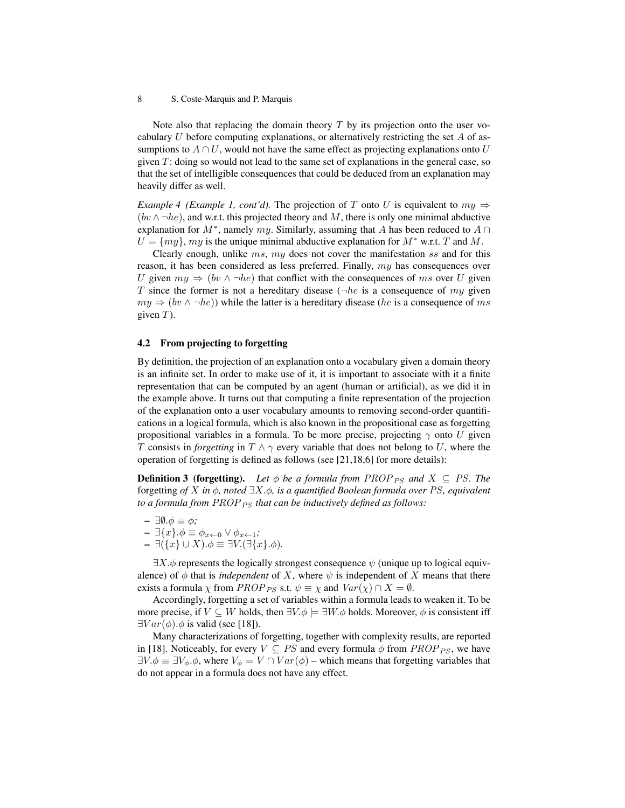Note also that replacing the domain theory  $T$  by its projection onto the user vocabulary U before computing explanations, or alternatively restricting the set A of assumptions to  $A \cap U$ , would not have the same effect as projecting explanations onto U given  $T$ : doing so would not lead to the same set of explanations in the general case, so that the set of intelligible consequences that could be deduced from an explanation may heavily differ as well.

*Example 4 (Example 1, cont'd).* The projection of T onto U is equivalent to  $mu \Rightarrow$  $(bv \wedge \neg he)$ , and w.r.t. this projected theory and M, there is only one minimal abductive explanation for  $M^*$ , namely  $my$ . Similarly, assuming that A has been reduced to  $A \cap$  $U = \{my\}$ , my is the unique minimal abductive explanation for  $M^*$  w.r.t. T and M.

Clearly enough, unlike  $ms$ ,  $my$  does not cover the manifestation ss and for this reason, it has been considered as less preferred. Finally, my has consequences over U given  $my \Rightarrow (bv \land \neg he)$  that conflict with the consequences of ms over U given T since the former is not a hereditary disease ( $\neg he$  is a consequence of my given  $my \Rightarrow (bv \land \neg he)$ ) while the latter is a hereditary disease (*he* is a consequence of ms given  $T$ ).

#### 4.2 From projecting to forgetting

By definition, the projection of an explanation onto a vocabulary given a domain theory is an infinite set. In order to make use of it, it is important to associate with it a finite representation that can be computed by an agent (human or artificial), as we did it in the example above. It turns out that computing a finite representation of the projection of the explanation onto a user vocabulary amounts to removing second-order quantifications in a logical formula, which is also known in the propositional case as forgetting propositional variables in a formula. To be more precise, projecting  $\gamma$  onto U given T consists in *forgetting* in  $T \wedge \gamma$  every variable that does not belong to U, where the operation of forgetting is defined as follows (see [21,18,6] for more details):

**Definition 3 (forgetting).** Let  $\phi$  be a formula from PROP<sub>PS</sub> and  $X \subseteq PS$ . The forgetting *of* X *in* φ*, noted* ∃X.φ*, is a quantified Boolean formula over* PS*, equivalent to a formula from PROP*<sub>PS</sub> *that can be inductively defined as follows:* 

- ∃∅.φ ≡ φ*;*
- ∃{x}.φ ≡ φx←<sup>0</sup> ∨ φx←1*;*
- ∃({x} ∪ X).φ ≡ ∃V.(∃{x}.φ)*.*

 $\exists X.\phi$  represents the logically strongest consequence  $\psi$  (unique up to logical equivalence) of  $\phi$  that is *independent* of X, where  $\psi$  is independent of X means that there exists a formula  $\chi$  from *PROP ps* s.t.  $\psi \equiv \chi$  and  $Var(\chi) \cap X = \emptyset$ .

Accordingly, forgetting a set of variables within a formula leads to weaken it. To be more precise, if  $V \subseteq W$  holds, then  $\exists V \phi \models \exists W \phi$  holds. Moreover,  $\phi$  is consistent iff  $\exists Var(\phi) \cdot \phi$  is valid (see [18]).

Many characterizations of forgetting, together with complexity results, are reported in [18]. Noticeably, for every  $V \subseteq PS$  and every formula  $\phi$  from  $PROP_{PS}$ , we have  $\exists V.\phi \equiv \exists V_{\phi}.\phi$ , where  $V_{\phi} = V \cap Var(\phi)$  – which means that forgetting variables that do not appear in a formula does not have any effect.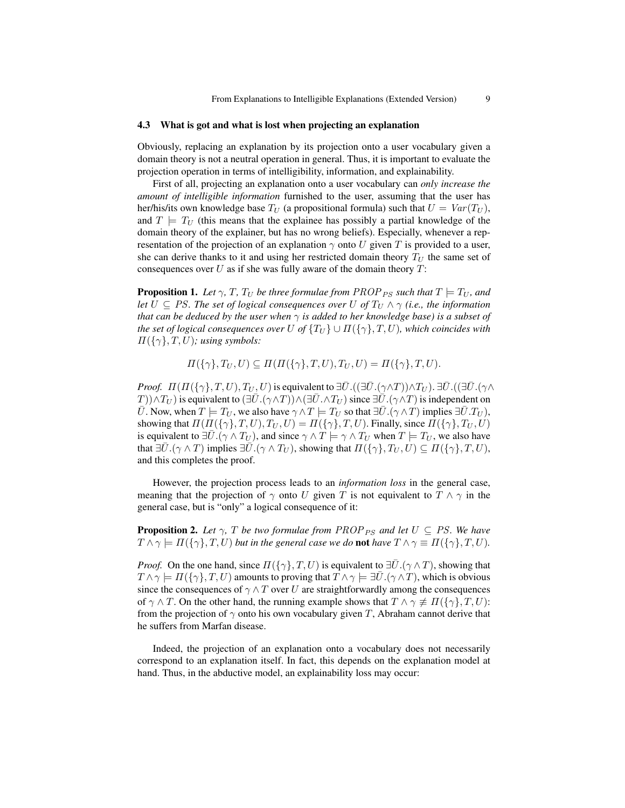#### 4.3 What is got and what is lost when projecting an explanation

Obviously, replacing an explanation by its projection onto a user vocabulary given a domain theory is not a neutral operation in general. Thus, it is important to evaluate the projection operation in terms of intelligibility, information, and explainability.

First of all, projecting an explanation onto a user vocabulary can *only increase the amount of intelligible information* furnished to the user, assuming that the user has her/his/its own knowledge base  $T_U$  (a propositional formula) such that  $U = Var(T_U)$ , and  $T \models T_U$  (this means that the explainee has possibly a partial knowledge of the domain theory of the explainer, but has no wrong beliefs). Especially, whenever a representation of the projection of an explanation  $\gamma$  onto U given T is provided to a user, she can derive thanks to it and using her restricted domain theory  $T_U$  the same set of consequences over  $U$  as if she was fully aware of the domain theory  $T$ :

**Proposition 1.** Let  $\gamma$ , T,  $T_U$  be three formulae from PROP<sub>PS</sub> such that  $T \models T_U$ , and *let*  $U \subseteq PS$ *. The set of logical consequences over*  $U$  *of*  $T_U \wedge \gamma$  *(i.e., the information that can be deduced by the user when*  $\gamma$  *is added to her knowledge base) is a subset of the set of logical consequences over* U *of*  $\{T_U\} \cup \Pi(\{\gamma\}, T, U)$ *, which coincides with*  $\Pi({\{\gamma\}}, T, U)$ ; using symbols:

 $\Pi(\{\gamma\},T_U,U)\subseteq \Pi(\Pi(\{\gamma\},T,U),T_U,U)=\Pi(\{\gamma\},T,U).$ 

*Proof.*  $\Pi(\Pi(\{\gamma\},T,U),T_U,U)$  is equivalent to  $\exists \overline{U}.((\exists \overline{U}.(\gamma \wedge T)) \wedge T_U). \exists \overline{U}.((\exists \overline{U}.(\gamma \wedge T)) \wedge T_U)$  $T$ ))∧ $T_U$ ) is equivalent to  $(\exists \bar{U}.(\gamma \land T)) \land (\exists \bar{U}. \land T_U)$  since  $\exists \bar{U}.(\gamma \land T)$  is independent on  $\overline{U}$ . Now, when  $T \models T_U$ , we also have  $\gamma \wedge T \models T_U$  so that  $\exists \overline{U}.(\gamma \wedge T)$  implies  $\exists \overline{U}.T_U$ ), showing that  $\Pi(\Pi({\{\gamma\}},T,U),T_U,U) = \Pi({\{\gamma\}},T,U)$ . Finally, since  $\Pi({\{\gamma\}},T_U,U)$ is equivalent to  $\exists \bar{U}. (\gamma \wedge T_U)$ , and since  $\gamma \wedge T \models \gamma \wedge T_U$  when  $T \models T_U$ , we also have that  $\exists \bar{U}.(\gamma \wedge T)$  implies  $\exists \bar{U}.(\gamma \wedge T_U)$ , showing that  $\Pi(\{\gamma\}, T_U, U) \subseteq \Pi(\{\gamma\}, T, U)$ , and this completes the proof.

However, the projection process leads to an *information loss* in the general case, meaning that the projection of  $\gamma$  onto U given T is not equivalent to  $T \wedge \gamma$  in the general case, but is "only" a logical consequence of it:

**Proposition 2.** Let  $\gamma$ , T be two formulae from PROP<sub>PS</sub> and let  $U \subseteq PS$ . We have  $T \wedge \gamma \models \Pi(\{\gamma\}, T, U)$  *but in the general case we do not have*  $T \wedge \gamma \equiv \Pi(\{\gamma\}, T, U)$ *.* 

*Proof.* On the one hand, since  $\Pi(\{\gamma\}, T, U)$  is equivalent to  $\exists \bar{U}.(\gamma \wedge T)$ , showing that  $T \wedge \gamma \models \Pi(\{\gamma\}, T, U)$  amounts to proving that  $T \wedge \gamma \models \exists \overline{U}.(\gamma \wedge T)$ , which is obvious since the consequences of  $\gamma \wedge T$  over U are straightforwardly among the consequences of  $\gamma \wedge T$ . On the other hand, the running example shows that  $T \wedge \gamma \not\equiv \Pi({\gamma}, T, U)$ : from the projection of  $\gamma$  onto his own vocabulary given T, Abraham cannot derive that he suffers from Marfan disease.

Indeed, the projection of an explanation onto a vocabulary does not necessarily correspond to an explanation itself. In fact, this depends on the explanation model at hand. Thus, in the abductive model, an explainability loss may occur: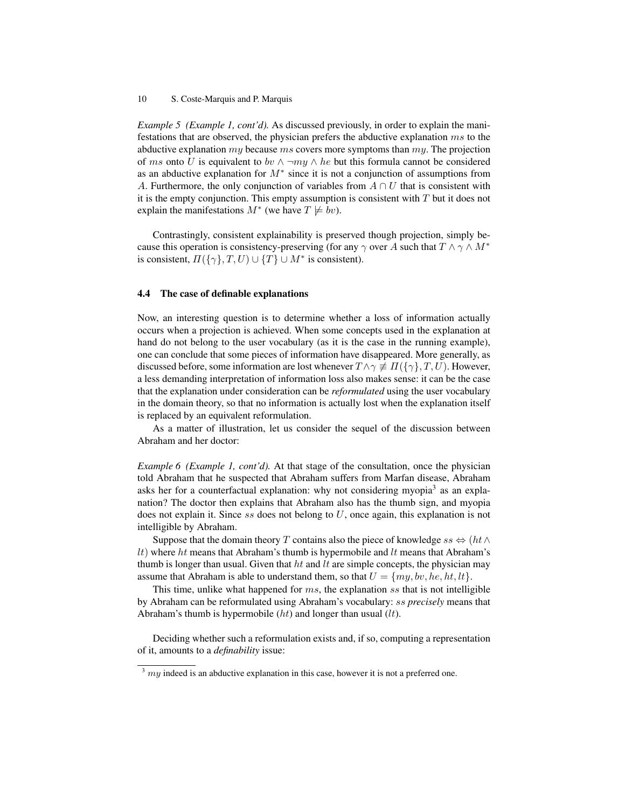*Example 5 (Example 1, cont'd).* As discussed previously, in order to explain the manifestations that are observed, the physician prefers the abductive explanation ms to the abductive explanation  $my$  because  $ms$  covers more symptoms than  $my$ . The projection of ms onto U is equivalent to by  $\land \neg my \land he$  but this formula cannot be considered as an abductive explanation for  $M^*$  since it is not a conjunction of assumptions from A. Furthermore, the only conjunction of variables from  $A \cap U$  that is consistent with it is the empty conjunction. This empty assumption is consistent with  $T$  but it does not explain the manifestations  $M^*$  (we have  $T \not\models bv$ ).

Contrastingly, consistent explainability is preserved though projection, simply because this operation is consistency-preserving (for any  $\gamma$  over A such that  $T \wedge \gamma \wedge M^*$ is consistent,  $\Pi({\gamma}, T, U) \cup {T} \cup M^*$  is consistent).

#### 4.4 The case of definable explanations

Now, an interesting question is to determine whether a loss of information actually occurs when a projection is achieved. When some concepts used in the explanation at hand do not belong to the user vocabulary (as it is the case in the running example), one can conclude that some pieces of information have disappeared. More generally, as discussed before, some information are lost whenever  $T \wedge \gamma \not\equiv \Pi(\{\gamma\}, T, U)$ . However, a less demanding interpretation of information loss also makes sense: it can be the case that the explanation under consideration can be *reformulated* using the user vocabulary in the domain theory, so that no information is actually lost when the explanation itself is replaced by an equivalent reformulation.

As a matter of illustration, let us consider the sequel of the discussion between Abraham and her doctor:

*Example 6 (Example 1, cont'd).* At that stage of the consultation, once the physician told Abraham that he suspected that Abraham suffers from Marfan disease, Abraham asks her for a counterfactual explanation: why not considering myopia<sup>3</sup> as an explanation? The doctor then explains that Abraham also has the thumb sign, and myopia does not explain it. Since  $ss$  does not belong to  $U$ , once again, this explanation is not intelligible by Abraham.

Suppose that the domain theory T contains also the piece of knowledge ss  $\Leftrightarrow$  (ht∧  $lt$ ) where ht means that Abraham's thumb is hypermobile and  $lt$  means that Abraham's thumb is longer than usual. Given that  $ht$  and  $lt$  are simple concepts, the physician may assume that Abraham is able to understand them, so that  $U = \{my, bv, he, ht, lt\}.$ 

This time, unlike what happened for  $ms$ , the explanation ss that is not intelligible by Abraham can be reformulated using Abraham's vocabulary: ss *precisely* means that Abraham's thumb is hypermobile  $(ht)$  and longer than usual  $(lt)$ .

Deciding whether such a reformulation exists and, if so, computing a representation of it, amounts to a *definability* issue:

 $3$  my indeed is an abductive explanation in this case, however it is not a preferred one.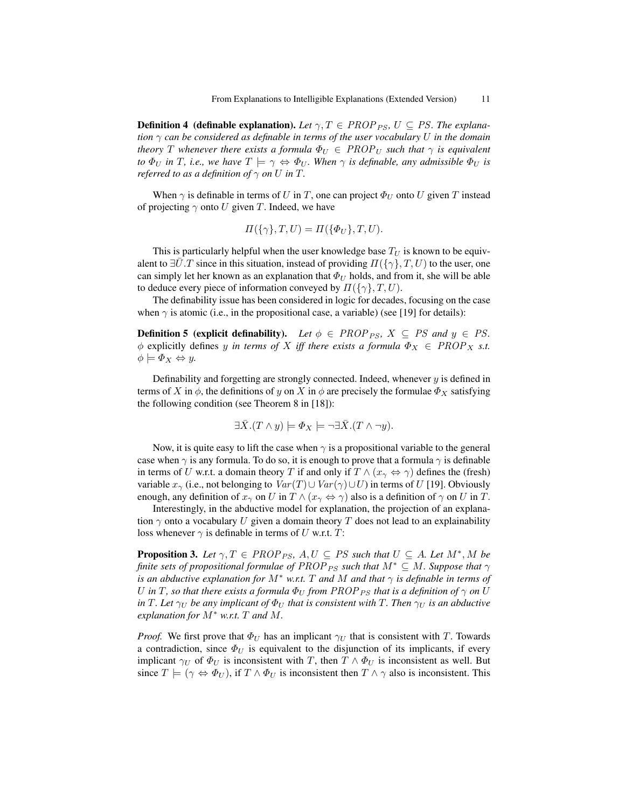**Definition 4 (definable explanation).** Let  $\gamma$ ,  $T \in PROP_{PS}$ ,  $U \subseteq PS$ . The explana*tion* γ *can be considered as definable in terms of the user vocabulary* U *in the domain theory T* whenever there exists a formula  $\Phi_U \in \mathbb{PROP}_U$  such that  $\gamma$  is equivalent *to*  $\Phi_U$  *in T*, *i.e., we have*  $T \models \gamma \Leftrightarrow \Phi_U$ *. When*  $\gamma$  *is definable, any admissible*  $\Phi_U$  *is referred to as a definition of*  $\gamma$  *on* U *in* T.

When  $\gamma$  is definable in terms of U in T, one can project  $\Phi_U$  onto U given T instead of projecting  $\gamma$  onto U given T. Indeed, we have

$$
\Pi(\{\gamma\},T,U) = \Pi(\{\Phi_U\},T,U).
$$

This is particularly helpful when the user knowledge base  $T_U$  is known to be equivalent to  $\exists U.T$  since in this situation, instead of providing  $\Pi(\{\gamma\},T,U)$  to the user, one can simply let her known as an explanation that  $\Phi_U$  holds, and from it, she will be able to deduce every piece of information conveyed by  $\Pi(\{\gamma\},T,U)$ .

The definability issue has been considered in logic for decades, focusing on the case when  $\gamma$  is atomic (i.e., in the propositional case, a variable) (see [19] for details):

**Definition 5 (explicit definability).** Let  $\phi \in PROP_{PS}$ ,  $X \subseteq PS$  and  $y \in PS$ .  $\phi$  explicitly defines y *in terms of* X *iff there exists a formula*  $\Phi_X \in \text{PROP}_X$  *s.t.*  $\phi \models \Phi_X \Leftrightarrow y.$ 

Definability and forgetting are strongly connected. Indeed, whenever  $y$  is defined in terms of X in  $\phi$ , the definitions of y on X in  $\phi$  are precisely the formulae  $\Phi_X$  satisfying the following condition (see Theorem 8 in [18]):

$$
\exists \bar{X}.(T \wedge y) \models \varPhi_X \models \neg \exists \bar{X}.(T \wedge \neg y).
$$

Now, it is quite easy to lift the case when  $\gamma$  is a propositional variable to the general case when  $\gamma$  is any formula. To do so, it is enough to prove that a formula  $\gamma$  is definable in terms of U w.r.t. a domain theory T if and only if  $T \wedge (x_{\gamma} \Leftrightarrow \gamma)$  defines the (fresh) variable  $x_\gamma$  (i.e., not belonging to  $Var(T) \cup Var(\gamma) \cup U$ ) in terms of U [19]. Obviously enough, any definition of  $x_\gamma$  on U in  $T \wedge (x_\gamma \Leftrightarrow \gamma)$  also is a definition of  $\gamma$  on U in T.

Interestingly, in the abductive model for explanation, the projection of an explanation  $\gamma$  onto a vocabulary U given a domain theory T does not lead to an explainability loss whenever  $\gamma$  is definable in terms of U w.r.t. T:

**Proposition 3.** Let  $\gamma, T \in PROP_{PS}, A, U \subseteq PS$  such that  $U \subseteq A$ . Let  $M^*, M$  be *finite sets of propositional formulae of PROP*<sub>*PS</sub> such that*  $M^* \subseteq M$ *. Suppose that*  $\gamma$ </sub> *is an abductive explanation for*  $M^*$  *w.r.t.*  $T$  *and*  $M$  *and that*  $\gamma$  *is definable in terms of* U in T, so that there exists a formula  $\Phi_U$  from PROP<sub>PS</sub> that is a definition of  $\gamma$  on U *in* T. Let  $\gamma_U$  *be any implicant of*  $\Phi_U$  *that is consistent with* T. Then  $\gamma_U$  *is an abductive explanation for* M<sup>∗</sup> *w.r.t.* T *and* M*.*

*Proof.* We first prove that  $\Phi_U$  has an implicant  $\gamma_U$  that is consistent with T. Towards a contradiction, since  $\Phi_U$  is equivalent to the disjunction of its implicants, if every implicant  $\gamma_U$  of  $\Phi_U$  is inconsistent with T, then  $T \wedge \Phi_U$  is inconsistent as well. But since  $T \models (\gamma \Leftrightarrow \Phi_U)$ , if  $T \wedge \Phi_U$  is inconsistent then  $T \wedge \gamma$  also is inconsistent. This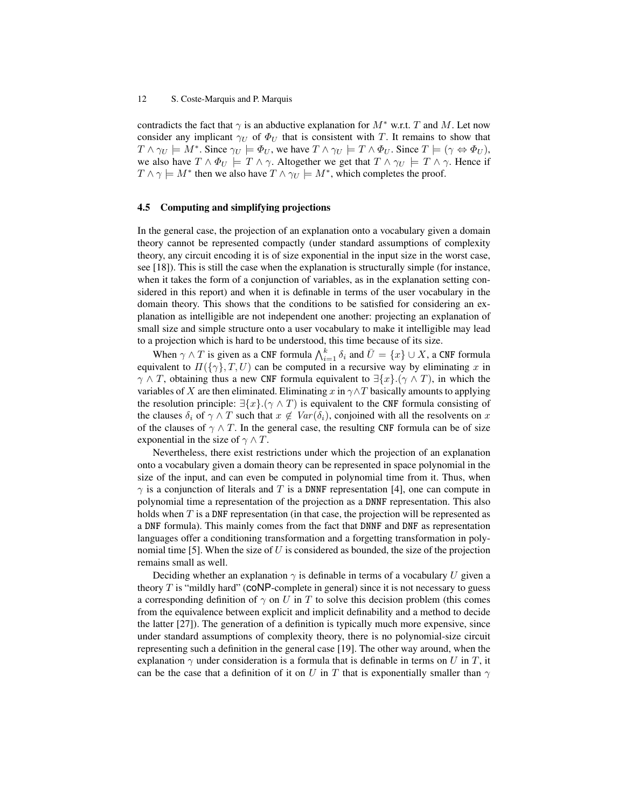contradicts the fact that  $\gamma$  is an abductive explanation for  $M^*$  w.r.t. T and M. Let now consider any implicant  $\gamma_U$  of  $\Phi_U$  that is consistent with T. It remains to show that  $T \wedge \gamma_U \models M^*$ . Since  $\gamma_U \models \Phi_U$ , we have  $T \wedge \gamma_U \models T \wedge \Phi_U$ . Since  $T \models (\gamma \Leftrightarrow \Phi_U)$ , we also have  $T \wedge \Phi_U \models T \wedge \gamma$ . Altogether we get that  $T \wedge \gamma_U \models T \wedge \gamma$ . Hence if  $T \wedge \gamma \models M^*$  then we also have  $T \wedge \gamma_U \models M^*$ , which completes the proof.

#### 4.5 Computing and simplifying projections

In the general case, the projection of an explanation onto a vocabulary given a domain theory cannot be represented compactly (under standard assumptions of complexity theory, any circuit encoding it is of size exponential in the input size in the worst case, see [18]). This is still the case when the explanation is structurally simple (for instance, when it takes the form of a conjunction of variables, as in the explanation setting considered in this report) and when it is definable in terms of the user vocabulary in the domain theory. This shows that the conditions to be satisfied for considering an explanation as intelligible are not independent one another: projecting an explanation of small size and simple structure onto a user vocabulary to make it intelligible may lead to a projection which is hard to be understood, this time because of its size.

When  $\gamma \wedge T$  is given as a CNF formula  $\bigwedge_{i=1}^k \delta_i$  and  $\bar{U} = \{x\} \cup X$ , a CNF formula equivalent to  $\Pi({\{\gamma\}},T,U)$  can be computed in a recursive way by eliminating x in  $\gamma \wedge T$ , obtaining thus a new CNF formula equivalent to  $\exists \{x\}.(\gamma \wedge T)$ , in which the variables of X are then eliminated. Eliminating x in  $\gamma \wedge T$  basically amounts to applying the resolution principle:  $\exists \{x\}.(\gamma \wedge T)$  is equivalent to the CNF formula consisting of the clauses  $\delta_i$  of  $\gamma \wedge T$  such that  $x \notin Var(\delta_i)$ , conjoined with all the resolvents on x of the clauses of  $\gamma \wedge T$ . In the general case, the resulting CNF formula can be of size exponential in the size of  $\gamma \wedge T$ .

Nevertheless, there exist restrictions under which the projection of an explanation onto a vocabulary given a domain theory can be represented in space polynomial in the size of the input, and can even be computed in polynomial time from it. Thus, when  $\gamma$  is a conjunction of literals and T is a DNNF representation [4], one can compute in polynomial time a representation of the projection as a DNNF representation. This also holds when T is a DNF representation (in that case, the projection will be represented as a DNF formula). This mainly comes from the fact that DNNF and DNF as representation languages offer a conditioning transformation and a forgetting transformation in polynomial time [5]. When the size of  $U$  is considered as bounded, the size of the projection remains small as well.

Deciding whether an explanation  $\gamma$  is definable in terms of a vocabulary U given a theory  $T$  is "mildly hard" (CONP-complete in general) since it is not necessary to guess a corresponding definition of  $\gamma$  on U in T to solve this decision problem (this comes from the equivalence between explicit and implicit definability and a method to decide the latter [27]). The generation of a definition is typically much more expensive, since under standard assumptions of complexity theory, there is no polynomial-size circuit representing such a definition in the general case [19]. The other way around, when the explanation  $\gamma$  under consideration is a formula that is definable in terms on U in T, it can be the case that a definition of it on U in T that is exponentially smaller than  $\gamma$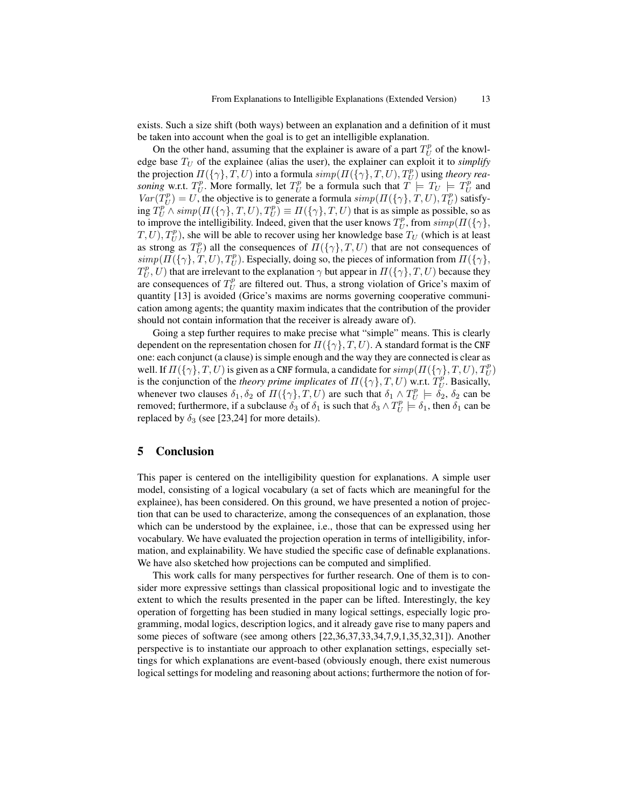exists. Such a size shift (both ways) between an explanation and a definition of it must be taken into account when the goal is to get an intelligible explanation.

On the other hand, assuming that the explainer is aware of a part  $T_U^p$  of the knowledge base  $T_U$  of the explainee (alias the user), the explainer can exploit it to *simplify* the projection  $\Pi(\{\gamma\}, T, U)$  into a formula  $simp(\Pi(\{\gamma\}, T, U), T^p_U)$  using *theory rea*soning w.r.t.  $T_U^p$ . More formally, let  $T_U^p$  be a formula such that  $T \models T_U \models T_U^p$  and  $Var(T_U^p) = U$ , the objective is to generate a formula  $simp(\Pi({\{\gamma\}, T, U), T_U^p})$  satisfying  $T_U^p \wedge \text{simp}(H(\{\gamma\}, T, U), T_U^p) \equiv H(\{\gamma\}, T, U)$  that is as simple as possible, so as to improve the intelligibility. Indeed, given that the user knows  $T_U^p$ , from  $\text{simp}(H(\{\gamma\},\{\gamma\},\{\gamma\},\{\gamma\}))$  $(T, U)$ ,  $T_U^p$ ), she will be able to recover using her knowledge base  $T_U$  (which is at least as strong as  $T_U^p$ ) all the consequences of  $\Pi({\{\gamma\}}, T, U)$  that are not consequences of  $simp(II(\{\gamma\},T,U),T^p_U)$ . Especially, doing so, the pieces of information from  $II(\{\gamma\},\mathcal{I})$  $T_U^p$ , U) that are irrelevant to the explanation  $\gamma$  but appear in  $\Pi(\{\gamma\},T,U)$  because they are consequences of  $T_U^p$  are filtered out. Thus, a strong violation of Grice's maxim of quantity [13] is avoided (Grice's maxims are norms governing cooperative communication among agents; the quantity maxim indicates that the contribution of the provider should not contain information that the receiver is already aware of).

Going a step further requires to make precise what "simple" means. This is clearly dependent on the representation chosen for  $\Pi(\{\gamma\},T,U)$ . A standard format is the CNF one: each conjunct (a clause) is simple enough and the way they are connected is clear as well. If  $\Pi(\{\gamma\},T,U)$  is given as a CNF formula, a candidate for  $simp(\Pi(\{\gamma\},T,U),T^p_U)$ is the conjunction of the *theory prime implicates* of  $\Pi(\{\gamma\}, T, U)$  w.r.t.  $T_U^p$ . Basically, whenever two clauses  $\delta_1, \delta_2$  of  $\Pi(\{\gamma\}, T, U)$  are such that  $\delta_1 \wedge T_U^p \models \delta_2$ ,  $\delta_2$  can be removed; furthermore, if a subclause  $\delta_3$  of  $\delta_1$  is such that  $\delta_3 \wedge T_U^p \models \delta_1$ , then  $\delta_1$  can be replaced by  $\delta_3$  (see [23,24] for more details).

# 5 Conclusion

This paper is centered on the intelligibility question for explanations. A simple user model, consisting of a logical vocabulary (a set of facts which are meaningful for the explainee), has been considered. On this ground, we have presented a notion of projection that can be used to characterize, among the consequences of an explanation, those which can be understood by the explainee, i.e., those that can be expressed using her vocabulary. We have evaluated the projection operation in terms of intelligibility, information, and explainability. We have studied the specific case of definable explanations. We have also sketched how projections can be computed and simplified.

This work calls for many perspectives for further research. One of them is to consider more expressive settings than classical propositional logic and to investigate the extent to which the results presented in the paper can be lifted. Interestingly, the key operation of forgetting has been studied in many logical settings, especially logic programming, modal logics, description logics, and it already gave rise to many papers and some pieces of software (see among others [22,36,37,33,34,7,9,1,35,32,31]). Another perspective is to instantiate our approach to other explanation settings, especially settings for which explanations are event-based (obviously enough, there exist numerous logical settings for modeling and reasoning about actions; furthermore the notion of for-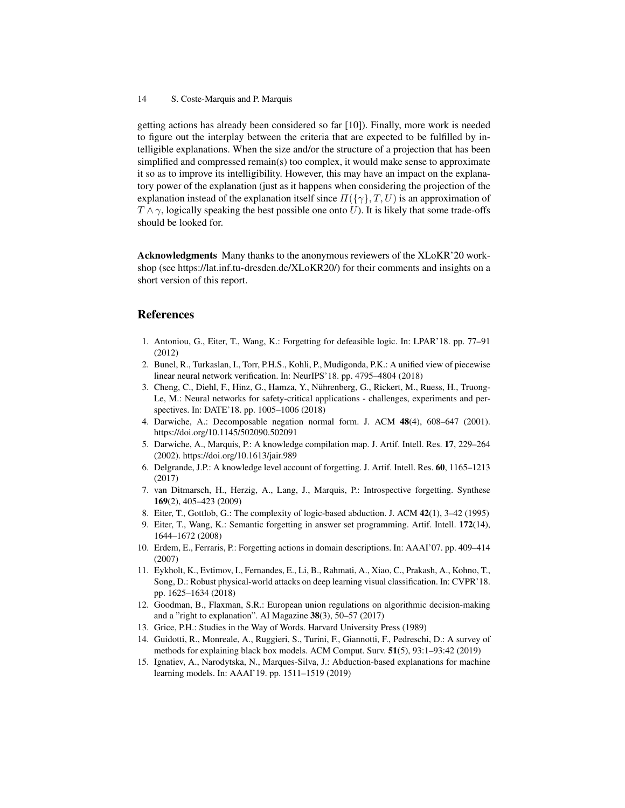getting actions has already been considered so far [10]). Finally, more work is needed to figure out the interplay between the criteria that are expected to be fulfilled by intelligible explanations. When the size and/or the structure of a projection that has been simplified and compressed remain(s) too complex, it would make sense to approximate it so as to improve its intelligibility. However, this may have an impact on the explanatory power of the explanation (just as it happens when considering the projection of the explanation instead of the explanation itself since  $\Pi(\{\gamma\}, T, U)$  is an approximation of  $T \wedge \gamma$ , logically speaking the best possible one onto U). It is likely that some trade-offs should be looked for.

Acknowledgments Many thanks to the anonymous reviewers of the XLoKR'20 workshop (see [https://lat.inf.tu-dresden.de/XLoKR20/\)](https://lat.inf.tu-dresden.de/XLoKR20/) for their comments and insights on a short version of this report.

## References

- 1. Antoniou, G., Eiter, T., Wang, K.: Forgetting for defeasible logic. In: LPAR'18. pp. 77–91 (2012)
- 2. Bunel, R., Turkaslan, I., Torr, P.H.S., Kohli, P., Mudigonda, P.K.: A unified view of piecewise linear neural network verification. In: NeurIPS'18. pp. 4795–4804 (2018)
- 3. Cheng, C., Diehl, F., Hinz, G., Hamza, Y., Nuhrenberg, G., Rickert, M., Ruess, H., Truong- ¨ Le, M.: Neural networks for safety-critical applications - challenges, experiments and perspectives. In: DATE'18. pp. 1005–1006 (2018)
- 4. Darwiche, A.: Decomposable negation normal form. J. ACM 48(4), 608–647 (2001). <https://doi.org/10.1145/502090.502091>
- 5. Darwiche, A., Marquis, P.: A knowledge compilation map. J. Artif. Intell. Res. 17, 229–264 (2002).<https://doi.org/10.1613/jair.989>
- 6. Delgrande, J.P.: A knowledge level account of forgetting. J. Artif. Intell. Res. 60, 1165–1213 (2017)
- 7. van Ditmarsch, H., Herzig, A., Lang, J., Marquis, P.: Introspective forgetting. Synthese 169(2), 405–423 (2009)
- 8. Eiter, T., Gottlob, G.: The complexity of logic-based abduction. J. ACM 42(1), 3–42 (1995)
- 9. Eiter, T., Wang, K.: Semantic forgetting in answer set programming. Artif. Intell. 172(14), 1644–1672 (2008)
- 10. Erdem, E., Ferraris, P.: Forgetting actions in domain descriptions. In: AAAI'07. pp. 409–414 (2007)
- 11. Eykholt, K., Evtimov, I., Fernandes, E., Li, B., Rahmati, A., Xiao, C., Prakash, A., Kohno, T., Song, D.: Robust physical-world attacks on deep learning visual classification. In: CVPR'18. pp. 1625–1634 (2018)
- 12. Goodman, B., Flaxman, S.R.: European union regulations on algorithmic decision-making and a "right to explanation". AI Magazine 38(3), 50–57 (2017)
- 13. Grice, P.H.: Studies in the Way of Words. Harvard University Press (1989)
- 14. Guidotti, R., Monreale, A., Ruggieri, S., Turini, F., Giannotti, F., Pedreschi, D.: A survey of methods for explaining black box models. ACM Comput. Surv. 51(5), 93:1–93:42 (2019)
- 15. Ignatiev, A., Narodytska, N., Marques-Silva, J.: Abduction-based explanations for machine learning models. In: AAAI'19. pp. 1511–1519 (2019)